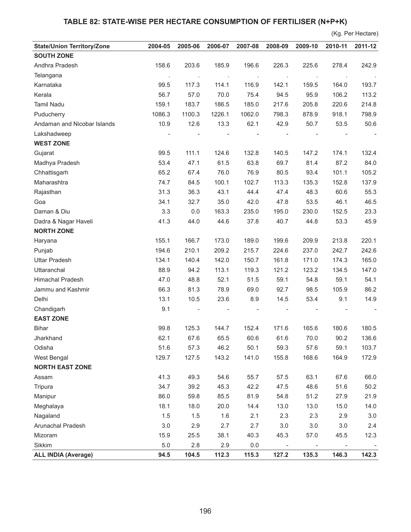## **TABLE 82: STATE-WISE PER HECTARE CONSUMPTION OF FERTILISER (N+P+K)**

|                                   |         |         |         |         |                          |                          |                          | (Kg. Per Hectare) |
|-----------------------------------|---------|---------|---------|---------|--------------------------|--------------------------|--------------------------|-------------------|
| <b>State/Union Territory/Zone</b> | 2004-05 | 2005-06 | 2006-07 | 2007-08 | 2008-09                  | 2009-10                  | 2010-11                  | 2011-12           |
| <b>SOUTH ZONE</b>                 |         |         |         |         |                          |                          |                          |                   |
| Andhra Pradesh                    | 158.6   | 203.6   | 185.9   | 196.6   | 226.3                    | 225.6                    | 278.4                    | 242.9             |
| Telangana                         | $\cdot$ |         | $\cdot$ | $\cdot$ |                          |                          |                          |                   |
| Karnataka                         | 99.5    | 117.3   | 114.1   | 116.9   | 142.1                    | 159.5                    | 164.0                    | 193.7             |
| Kerala                            | 56.7    | 57.0    | 70.0    | 75.4    | 94.5                     | 95.9                     | 106.2                    | 113.2             |
| <b>Tamil Nadu</b>                 | 159.1   | 183.7   | 186.5   | 185.0   | 217.6                    | 205.8                    | 220.6                    | 214.8             |
| Puducherry                        | 1086.3  | 1100.3  | 1226.1  | 1062.0  | 798.3                    | 878.9                    | 918.1                    | 798.9             |
| Andaman and Nicobar Islands       | 10.9    | 12.6    | 13.3    | 62.1    | 42.9                     | 50.7                     | 53.5                     | 50.6              |
| Lakshadweep                       |         |         |         |         |                          |                          |                          |                   |
| <b>WEST ZONE</b>                  |         |         |         |         |                          |                          |                          |                   |
| Gujarat                           | 99.5    | 111.1   | 124.6   | 132.8   | 140.5                    | 147.2                    | 174.1                    | 132.4             |
| Madhya Pradesh                    | 53.4    | 47.1    | 61.5    | 63.8    | 69.7                     | 81.4                     | 87.2                     | 84.0              |
| Chhattisgarh                      | 65.2    | 67.4    | 76.0    | 76.9    | 80.5                     | 93.4                     | 101.1                    | 105.2             |
| Maharashtra                       | 74.7    | 84.5    | 100.1   | 102.7   | 113.3                    | 135.3                    | 152.8                    | 137.9             |
| Rajasthan                         | 31.3    | 36.3    | 43.1    | 44.4    | 47.4                     | 48.3                     | 60.6                     | 55.3              |
| Goa                               | 34.1    | 32.7    | 35.0    | 42.0    | 47.8                     | 53.5                     | 46.1                     | 46.5              |
| Daman & Diu                       | 3.3     | 0.0     | 163.3   | 235.0   | 195.0                    | 230.0                    | 152.5                    | 23.3              |
| Dadra & Nagar Haveli              | 41.3    | 44.0    | 44.6    | 37.8    | 40.7                     | 44.8                     | 53.3                     | 45.9              |
| <b>NORTH ZONE</b>                 |         |         |         |         |                          |                          |                          |                   |
| Haryana                           | 155.1   | 166.7   | 173.0   | 189.0   | 199.6                    | 209.9                    | 213.8                    | 220.1             |
| Punjab                            | 194.6   | 210.1   | 209.2   | 215.7   | 224.6                    | 237.0                    | 242.7                    | 242.6             |
| <b>Uttar Pradesh</b>              | 134.1   | 140.4   | 142.0   | 150.7   | 161.8                    | 171.0                    | 174.3                    | 165.0             |
| Uttaranchal                       | 88.9    | 94.2    | 113.1   | 119.3   | 121.2                    | 123.2                    | 134.5                    | 147.0             |
| Himachal Pradesh                  | 47.0    | 48.8    | 52.1    | 51.5    | 59.1                     | 54.8                     | 59.1                     | 54.1              |
| Jammu and Kashmir                 | 66.3    | 81.3    | 78.9    | 69.0    | 92.7                     | 98.5                     | 105.9                    | 86.2              |
| Delhi                             | 13.1    | 10.5    | 23.6    | 8.9     | 14.5                     | 53.4                     | 9.1                      | 14.9              |
| Chandigarh                        | 9.1     |         |         |         |                          |                          |                          |                   |
| <b>EAST ZONE</b>                  |         |         |         |         |                          |                          |                          |                   |
| Bihar                             | 99.8    | 125.3   | 144.7   | 152.4   | 171.6                    | 165.6                    | 180.6                    | 180.5             |
| Jharkhand                         | 62.1    | 67.6    | 65.5    | 60.6    | 61.6                     | 70.0                     | 90.2                     | 136.6             |
| Odisha                            | 51.6    | 57.3    | 46.2    | 50.1    | 59.3                     | 57.6                     | 59.1                     | 103.7             |
| West Bengal                       | 129.7   | 127.5   | 143.2   | 141.0   | 155.8                    | 168.6                    | 164.9                    | 172.9             |
| <b>NORTH EAST ZONE</b>            |         |         |         |         |                          |                          |                          |                   |
| Assam                             | 41.3    | 49.3    | 54.6    | 55.7    | 57.5                     | 63.1                     | 67.6                     | 66.0              |
| Tripura                           | 34.7    | 39.2    | 45.3    | 42.2    | 47.5                     | 48.6                     | 51.6                     | 50.2              |
| Manipur                           | 86.0    | 59.8    | 85.5    | 81.9    | 54.8                     | 51.2                     | 27.9                     | 21.9              |
| Meghalaya                         | 18.1    | 18.0    | 20.0    | 14.4    | 13.0                     | 13.0                     | 15.0                     | 14.0              |
| Nagaland                          | 1.5     | 1.5     | 1.6     | 2.1     | 2.3                      | 2.3                      | 2.9                      | $3.0\,$           |
| Arunachal Pradesh                 | 3.0     | 2.9     | 2.7     | 2.7     | 3.0                      | 3.0                      | 3.0                      | 2.4               |
| Mizoram                           | 15.9    | 25.5    | 38.1    | 40.3    | 45.3                     | 57.0                     | 45.5                     | 12.3              |
| Sikkim                            | $5.0$   | 2.8     | 2.9     | 0.0     | $\overline{\phantom{a}}$ | $\overline{\phantom{a}}$ | $\overline{\phantom{a}}$ |                   |
| <b>ALL INDIA (Average)</b>        | 94.5    | 104.5   | 112.3   | 115.3   | 127.2                    | 135.3                    | 146.3                    | 142.3             |